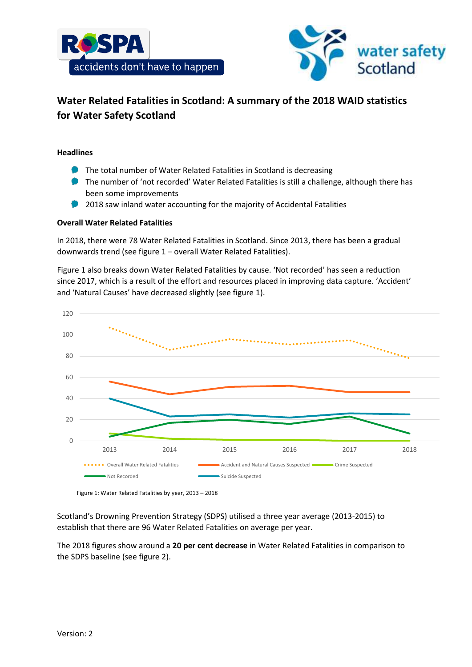



# **Water Related Fatalities in Scotland: A summary of the 2018 WAID statistics for Water Safety Scotland**

## **Headlines**

- **The total number of Water Related Fatalities in Scotland is decreasing**
- **The number of 'not recorded' Water Related Fatalities is still a challenge, although there has** been some improvements
- 2018 saw inland water accounting for the majority of Accidental Fatalities

## **Overall Water Related Fatalities**

In 2018, there were 78 Water Related Fatalities in Scotland. Since 2013, there has been a gradual downwards trend (see figure 1 – overall Water Related Fatalities).

Figure 1 also breaks down Water Related Fatalities by cause. 'Not recorded' has seen a reduction since 2017, which is a result of the effort and resources placed in improving data capture. 'Accident' and 'Natural Causes' have decreased slightly (see figure 1).



Figure 1: Water Related Fatalities by year, 2013 – 2018

Scotland's Drowning Prevention Strategy (SDPS) utilised a three year average (2013-2015) to establish that there are 96 Water Related Fatalities on average per year.

The 2018 figures show around a **20 per cent decrease** in Water Related Fatalities in comparison to the SDPS baseline (see figure 2).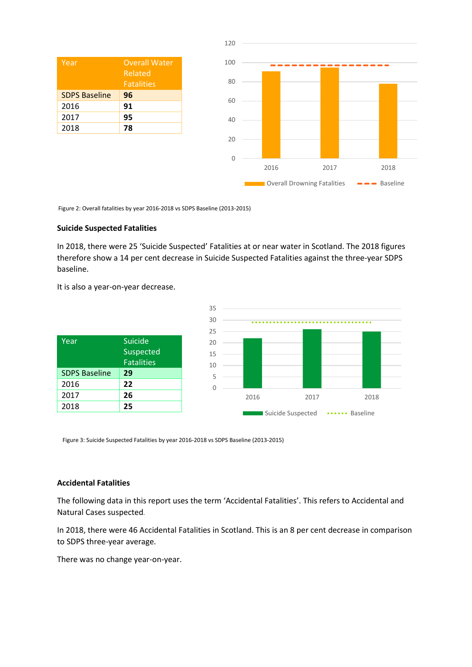| Year                 | <b>Overall Water</b><br>Related<br><b>Fatalities</b> |
|----------------------|------------------------------------------------------|
| <b>SDPS Baseline</b> | 96                                                   |
| 2016                 | 91                                                   |
| 2017                 | 95                                                   |
| 2018                 | 78                                                   |



Figure 2: Overall fatalities by year 2016-2018 vs SDPS Baseline (2013-2015)

### **Suicide Suspected Fatalities**

In 2018, there were 25 'Suicide Suspected' Fatalities at or near water in Scotland. The 2018 figures therefore show a 14 per cent decrease in Suicide Suspected Fatalities against the three-year SDPS baseline.

It is also a year-on-year decrease.

| Year                 | Suicide<br><b>Suspected</b><br><b>Fatalities</b> |
|----------------------|--------------------------------------------------|
| <b>SDPS Baseline</b> | 29                                               |
| 2016                 | 22                                               |
| 2017                 | 26                                               |
| 2018                 | フら                                               |



Figure 3: Suicide Suspected Fatalities by year 2016-2018 vs SDPS Baseline (2013-2015)

### **Accidental Fatalities**

The following data in this report uses the term 'Accidental Fatalities'. This refers to Accidental and Natural Cases suspected.

In 2018, there were 46 Accidental Fatalities in Scotland. This is an 8 per cent decrease in comparison to SDPS three-year average.

There was no change year-on-year.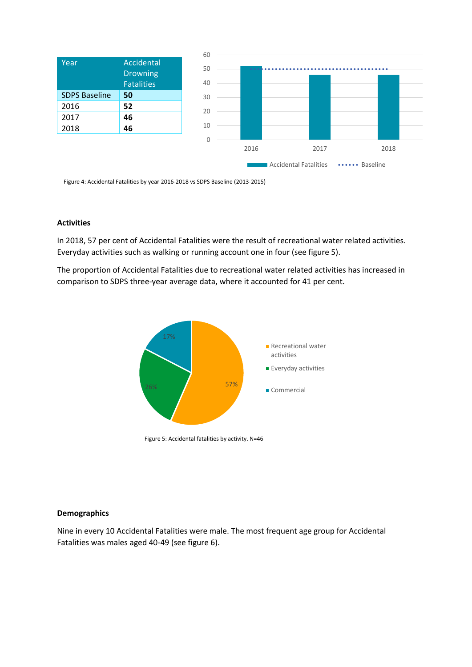|                      |                               | 60 |      |                                          |      |
|----------------------|-------------------------------|----|------|------------------------------------------|------|
| Year                 | Accidental<br><b>Drowning</b> | 50 |      |                                          |      |
|                      | <b>Fatalities</b>             | 40 |      |                                          |      |
| <b>SDPS Baseline</b> | 50                            | 30 |      |                                          |      |
| 2016                 | 52                            | 20 |      |                                          |      |
| 2017                 | 46                            |    |      |                                          |      |
| 2018                 | 46                            | 10 |      |                                          |      |
|                      |                               | 0  |      |                                          |      |
|                      |                               |    | 2016 | 2017                                     | 2018 |
|                      |                               |    |      | <b>Accidental Fatalities</b><br>Baseline |      |

Figure 4: Accidental Fatalities by year 2016-2018 vs SDPS Baseline (2013-2015)

### **Activities**

In 2018, 57 per cent of Accidental Fatalities were the result of recreational water related activities. Everyday activities such as walking or running account one in four (see figure 5).

The proportion of Accidental Fatalities due to recreational water related activities has increased in comparison to SDPS three-year average data, where it accounted for 41 per cent.



Figure 5: Accidental fatalities by activity. N=46

#### **Demographics**

Nine in every 10 Accidental Fatalities were male. The most frequent age group for Accidental Fatalities was males aged 40-49 (see figure 6).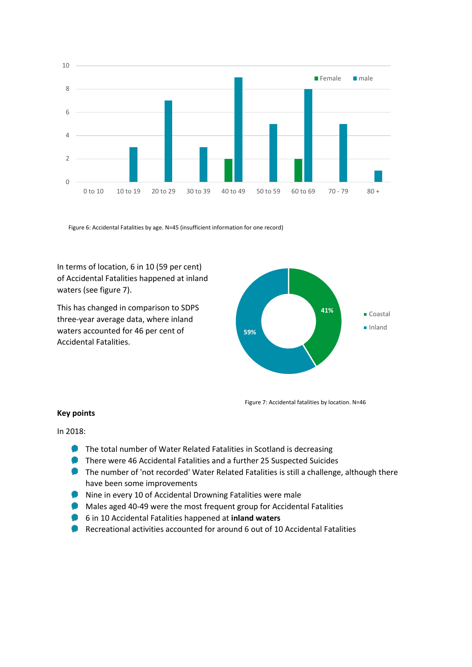

Figure 6: Accidental Fatalities by age. N=45 (insufficient information for one record)

In terms of location, 6 in 10 (59 per cent) of Accidental Fatalities happened at inland waters (see figure 7).

This has changed in comparison to SDPS three-year average data, where inland waters accounted for 46 per cent of Accidental Fatalities.



Figure 7: Accidental fatalities by location. N=46

## **Key points**

In 2018:

- **The total number of Water Related Fatalities in Scotland is decreasing**
- **There were 46 Accidental Fatalities and a further 25 Suspected Suicides**
- **The number of 'not recorded' Water Related Fatalities is still a challenge, although there** have been some improvements
- Nine in every 10 of Accidental Drowning Fatalities were male
- **Males aged 40-49 were the most frequent group for Accidental Fatalities**
- 6 in 10 Accidental Fatalities happened at **inland waters**
- Recreational activities accounted for around 6 out of 10 Accidental Fatalities